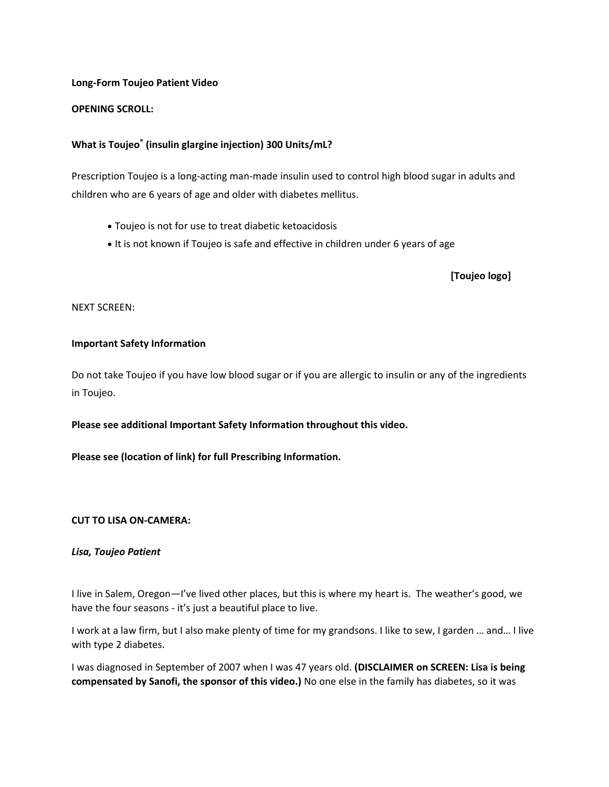### **Long-Form Toujeo Patient Video**

### **OPENING SCROLL:**

# **What is Toujeo® (insulin glargine injection) 300 Units/mL?**

Prescription Toujeo is a long-acting man-made insulin used to control high blood sugar in adults and children who are 6 years of age and older with diabetes mellitus.

- Toujeo is not for use to treat diabetic ketoacidosis
- It is not known if Toujeo is safe and effective in children under 6 years of age

 **[Toujeo logo]**

NEXT SCREEN:

### **Important Safety Information**

Do not take Toujeo if you have low blood sugar or if you are allergic to insulin or any of the ingredients in Toujeo.

# **Please see additional Important Safety Information throughout this video.**

**Please see (location of link) for full Prescribing Information.**

#### **CUT TO LISA ON-CAMERA:**

#### *Lisa, Toujeo Patient*

I live in Salem, Oregon—I've lived other places, but this is where my heart is. The weather's good, we have the four seasons - it's just a beautiful place to live.

I work at a law firm, but I also make plenty of time for my grandsons. I like to sew, I garden … and… I live with type 2 diabetes.

I was diagnosed in September of 2007 when I was 47 years old. **(DISCLAIMER on SCREEN: Lisa is being compensated by Sanofi, the sponsor of this video.)** No one else in the family has diabetes, so it was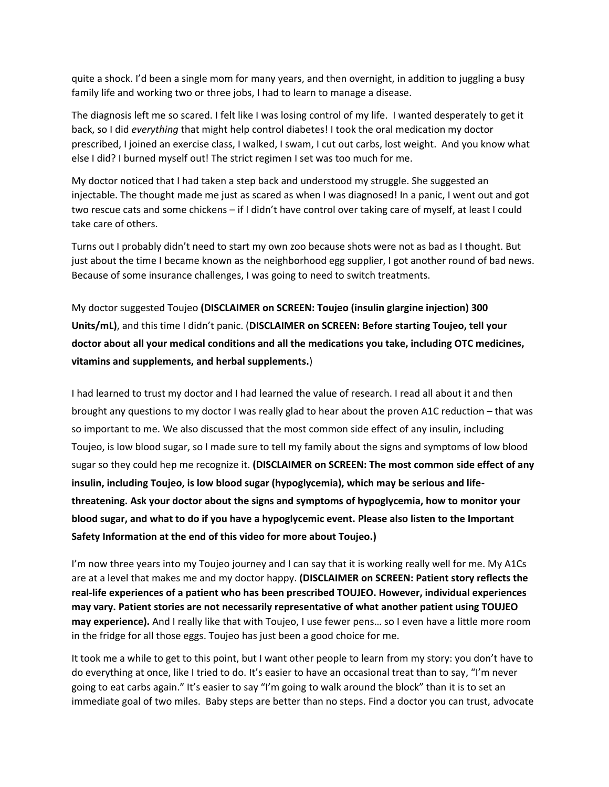quite a shock. I'd been a single mom for many years, and then overnight, in addition to juggling a busy family life and working two or three jobs, I had to learn to manage a disease.

The diagnosis left me so scared. I felt like I was losing control of my life. I wanted desperately to get it back, so I did *everything* that might help control diabetes! I took the oral medication my doctor prescribed, I joined an exercise class, I walked, I swam, I cut out carbs, lost weight. And you know what else I did? I burned myself out! The strict regimen I set was too much for me.

My doctor noticed that I had taken a step back and understood my struggle. She suggested an injectable. The thought made me just as scared as when I was diagnosed! In a panic, I went out and got two rescue cats and some chickens – if I didn't have control over taking care of myself, at least I could take care of others.

Turns out I probably didn't need to start my own zoo because shots were not as bad as I thought. But just about the time I became known as the neighborhood egg supplier, I got another round of bad news. Because of some insurance challenges, I was going to need to switch treatments.

My doctor suggested Toujeo **(DISCLAIMER on SCREEN: Toujeo (insulin glargine injection) 300 Units/mL)**, and this time I didn't panic. (**DISCLAIMER on SCREEN: Before starting Toujeo, tell your doctor about all your medical conditions and all the medications you take, including OTC medicines, vitamins and supplements, and herbal supplements.**)

I had learned to trust my doctor and I had learned the value of research. I read all about it and then brought any questions to my doctor I was really glad to hear about the proven A1C reduction – that was so important to me. We also discussed that the most common side effect of any insulin, including Toujeo, is low blood sugar, so I made sure to tell my family about the signs and symptoms of low blood sugar so they could hep me recognize it. **(DISCLAIMER on SCREEN: The most common side effect of any insulin, including Toujeo, is low blood sugar (hypoglycemia), which may be serious and lifethreatening. Ask your doctor about the signs and symptoms of hypoglycemia, how to monitor your blood sugar, and what to do if you have a hypoglycemic event. Please also listen to the Important Safety Information at the end of this video for more about Toujeo.)**

I'm now three years into my Toujeo journey and I can say that it is working really well for me. My A1Cs are at a level that makes me and my doctor happy. **(DISCLAIMER on SCREEN: Patient story reflects the real-life experiences of a patient who has been prescribed TOUJEO. However, individual experiences may vary. Patient stories are not necessarily representative of what another patient using TOUJEO may experience).** And I really like that with Toujeo, I use fewer pens… so I even have a little more room in the fridge for all those eggs. Toujeo has just been a good choice for me.

It took me a while to get to this point, but I want other people to learn from my story: you don't have to do everything at once, like I tried to do. It's easier to have an occasional treat than to say, "I'm never going to eat carbs again." It's easier to say "I'm going to walk around the block" than it is to set an immediate goal of two miles. Baby steps are better than no steps. Find a doctor you can trust, advocate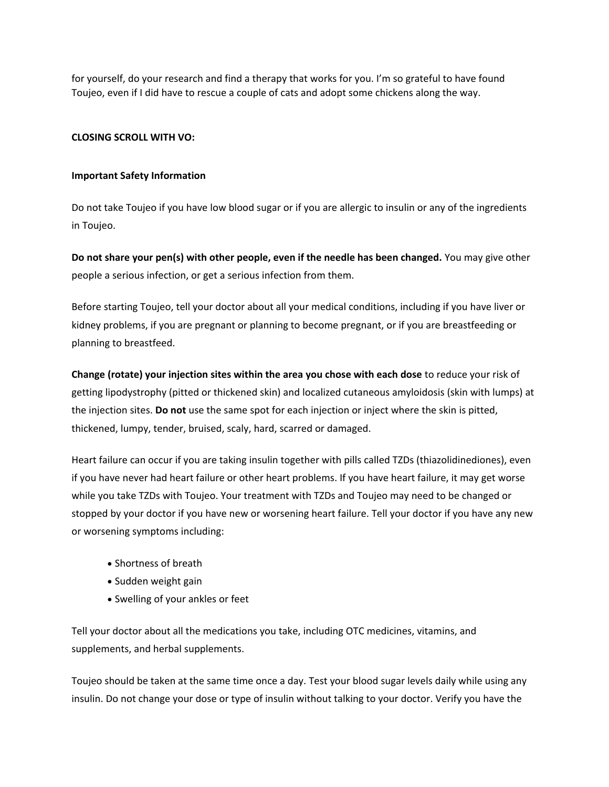for yourself, do your research and find a therapy that works for you. I'm so grateful to have found Toujeo, even if I did have to rescue a couple of cats and adopt some chickens along the way.

# **CLOSING SCROLL WITH VO:**

### **Important Safety Information**

Do not take Toujeo if you have low blood sugar or if you are allergic to insulin or any of the ingredients in Toujeo.

**Do not share your pen(s) with other people, even if the needle has been changed.** You may give other people a serious infection, or get a serious infection from them.

Before starting Toujeo, tell your doctor about all your medical conditions, including if you have liver or kidney problems, if you are pregnant or planning to become pregnant, or if you are breastfeeding or planning to breastfeed.

**Change (rotate) your injection sites within the area you chose with each dose** to reduce your risk of getting lipodystrophy (pitted or thickened skin) and localized cutaneous amyloidosis (skin with lumps) at the injection sites. **Do not** use the same spot for each injection or inject where the skin is pitted, thickened, lumpy, tender, bruised, scaly, hard, scarred or damaged.

Heart failure can occur if you are taking insulin together with pills called TZDs (thiazolidinediones), even if you have never had heart failure or other heart problems. If you have heart failure, it may get worse while you take TZDs with Toujeo. Your treatment with TZDs and Toujeo may need to be changed or stopped by your doctor if you have new or worsening heart failure. Tell your doctor if you have any new or worsening symptoms including:

- Shortness of breath
- Sudden weight gain
- Swelling of your ankles or feet

Tell your doctor about all the medications you take, including OTC medicines, vitamins, and supplements, and herbal supplements.

Toujeo should be taken at the same time once a day. Test your blood sugar levels daily while using any insulin. Do not change your dose or type of insulin without talking to your doctor. Verify you have the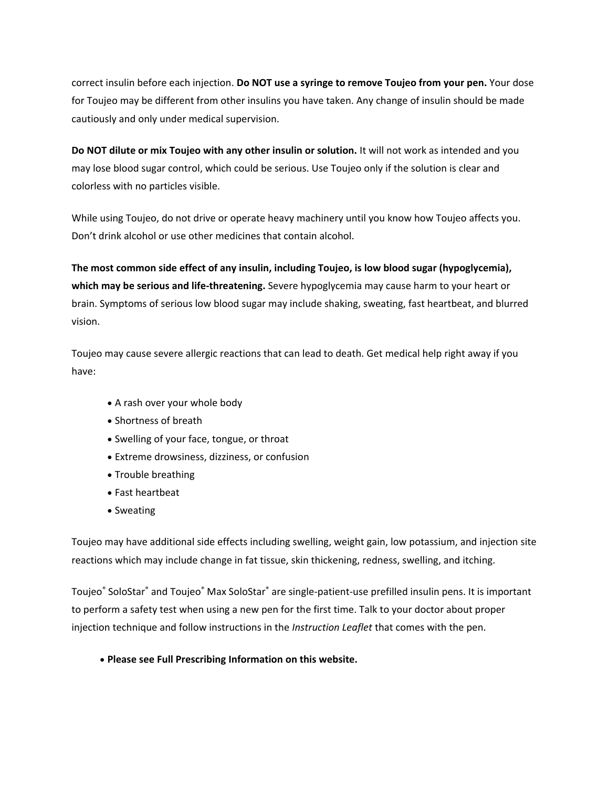correct insulin before each injection. **Do NOT use a syringe to remove Toujeo from your pen.** Your dose for Toujeo may be different from other insulins you have taken. Any change of insulin should be made cautiously and only under medical supervision.

**Do NOT dilute or mix Toujeo with any other insulin or solution.** It will not work as intended and you may lose blood sugar control, which could be serious. Use Toujeo only if the solution is clear and colorless with no particles visible.

While using Toujeo, do not drive or operate heavy machinery until you know how Toujeo affects you. Don't drink alcohol or use other medicines that contain alcohol.

**The most common side effect of any insulin, including Toujeo, is low blood sugar (hypoglycemia), which may be serious and life-threatening.** Severe hypoglycemia may cause harm to your heart or brain. Symptoms of serious low blood sugar may include shaking, sweating, fast heartbeat, and blurred vision.

Toujeo may cause severe allergic reactions that can lead to death. Get medical help right away if you have:

- A rash over your whole body
- Shortness of breath
- Swelling of your face, tongue, or throat
- Extreme drowsiness, dizziness, or confusion
- Trouble breathing
- Fast heartbeat
- Sweating

Toujeo may have additional side effects including swelling, weight gain, low potassium, and injection site reactions which may include change in fat tissue, skin thickening, redness, swelling, and itching.

Toujeo<sup>®</sup> SoloStar® and Toujeo® Max SoloStar® are single-patient-use prefilled insulin pens. It is important to perform a safety test when using a new pen for the first time. Talk to your doctor about proper injection technique and follow instructions in the *Instruction Leaflet* that comes with the pen.

# • **[Please](http://products.sanofi.us/toujeo/toujeo.pdf) see Full Prescribing Information on this website.**